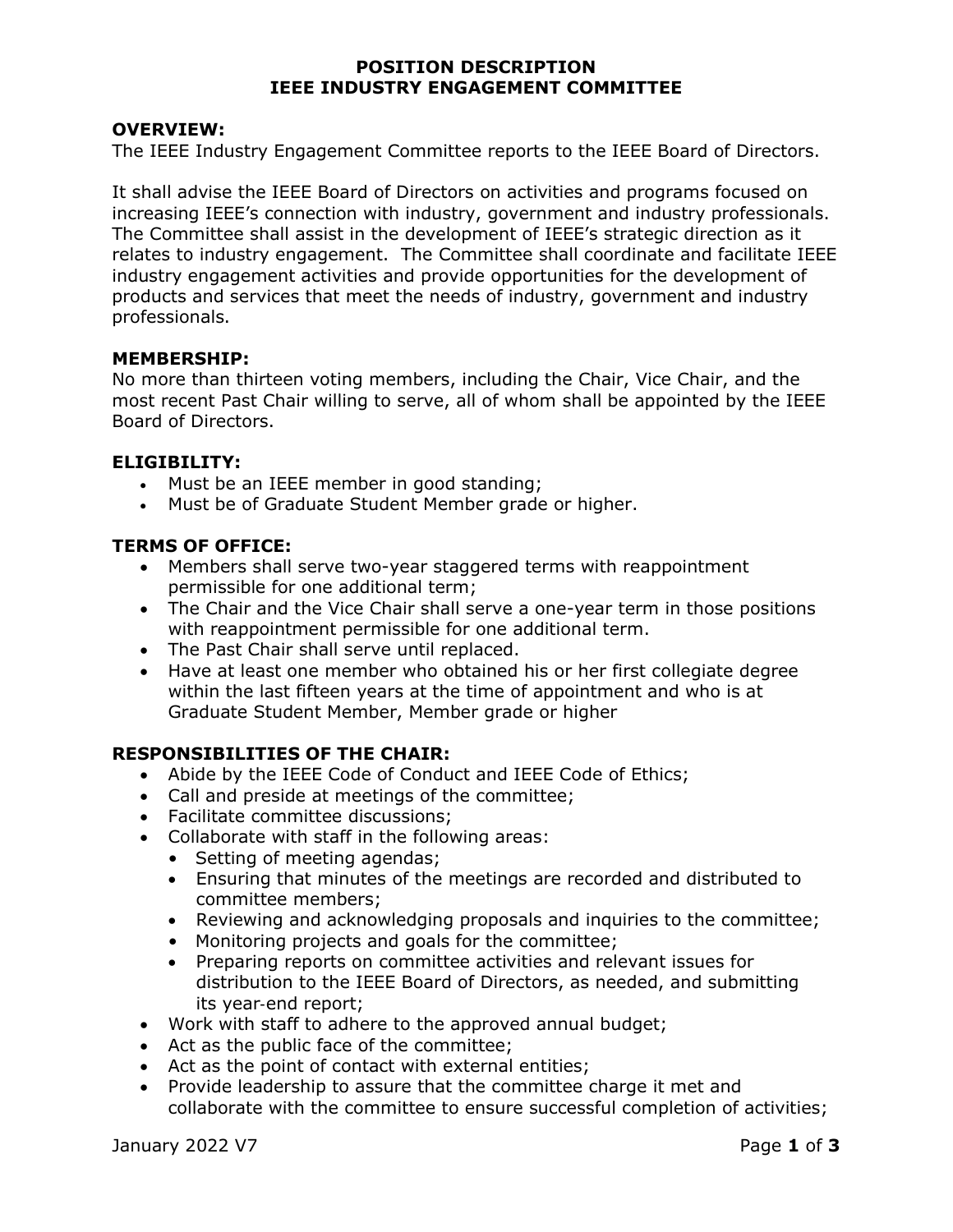### POSITION DESCRIPTION IEEE INDUSTRY ENGAGEMENT COMMITTEE

### OVERVIEW:

The IEEE Industry Engagement Committee reports to the IEEE Board of Directors.

It shall advise the IEEE Board of Directors on activities and programs focused on increasing IEEE's connection with industry, government and industry professionals. The Committee shall assist in the development of IEEE's strategic direction as it relates to industry engagement. The Committee shall coordinate and facilitate IEEE industry engagement activities and provide opportunities for the development of products and services that meet the needs of industry, government and industry professionals.

#### MEMBERSHIP:

No more than thirteen voting members, including the Chair, Vice Chair, and the most recent Past Chair willing to serve, all of whom shall be appointed by the IEEE Board of Directors.

#### ELIGIBILITY:

- Must be an IEEE member in good standing;
- Must be of Graduate Student Member grade or higher.

### TERMS OF OFFICE:

- Members shall serve two-year staggered terms with reappointment permissible for one additional term;
- The Chair and the Vice Chair shall serve a one-year term in those positions with reappointment permissible for one additional term.
- The Past Chair shall serve until replaced.
- Have at least one member who obtained his or her first collegiate degree within the last fifteen years at the time of appointment and who is at Graduate Student Member, Member grade or higher

### RESPONSIBILITIES OF THE CHAIR:

- Abide by the IEEE Code of Conduct and IEEE Code of Ethics;
- Call and preside at meetings of the committee;
- Facilitate committee discussions;
- Collaborate with staff in the following areas:
	- Setting of meeting agendas;
	- Ensuring that minutes of the meetings are recorded and distributed to committee members;
	- Reviewing and acknowledging proposals and inquiries to the committee;
	- Monitoring projects and goals for the committee;
	- Preparing reports on committee activities and relevant issues for distribution to the IEEE Board of Directors, as needed, and submitting its year‐end report;
- Work with staff to adhere to the approved annual budget;
- Act as the public face of the committee;
- Act as the point of contact with external entities;
- Provide leadership to assure that the committee charge it met and collaborate with the committee to ensure successful completion of activities;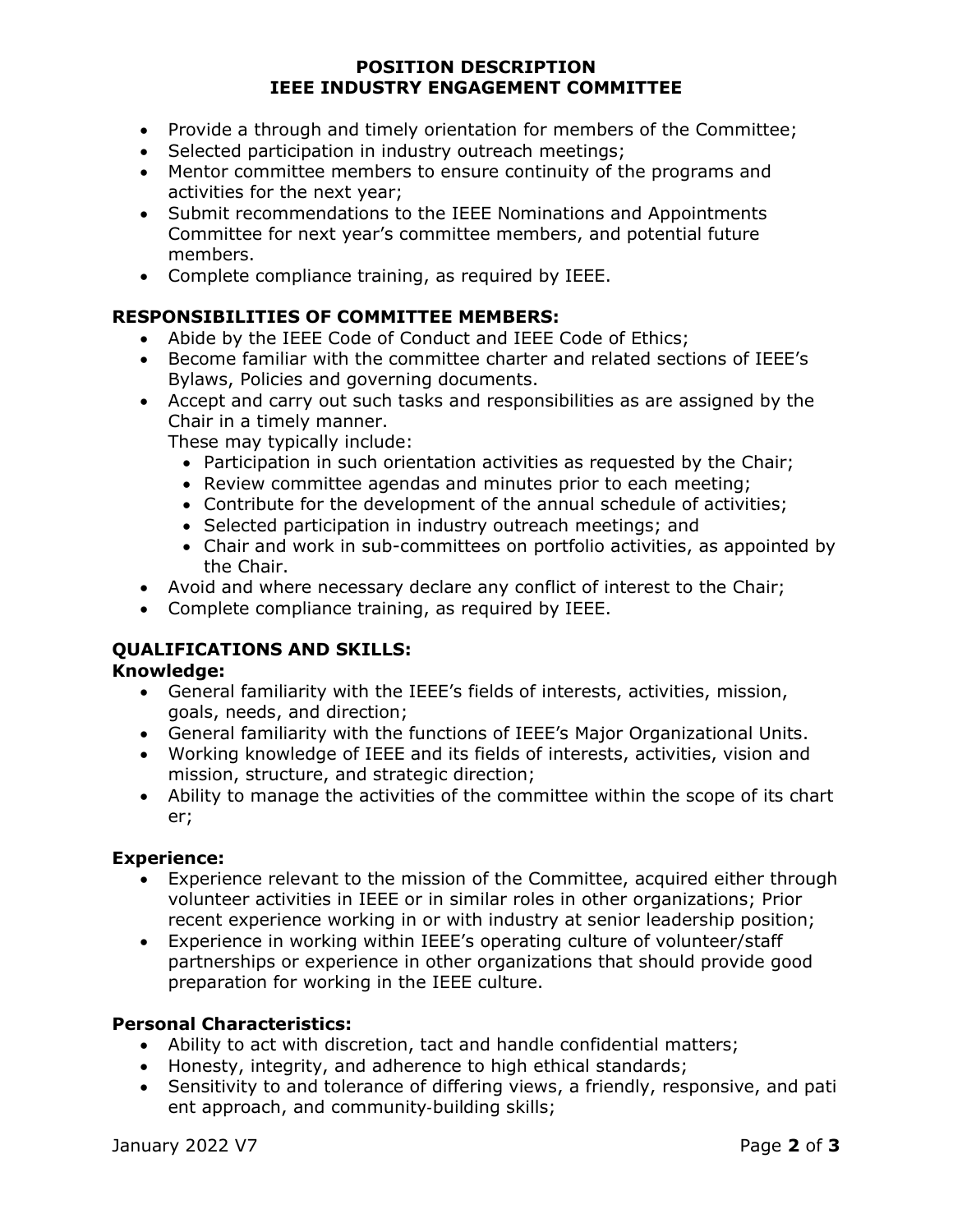## POSITION DESCRIPTION IEEE INDUSTRY ENGAGEMENT COMMITTEE

- Provide a through and timely orientation for members of the Committee:
- Selected participation in industry outreach meetings;
- Mentor committee members to ensure continuity of the programs and activities for the next year;
- Submit recommendations to the IEEE Nominations and Appointments Committee for next year's committee members, and potential future members.
- Complete compliance training, as required by IEEE.

# RESPONSIBILITIES OF COMMITTEE MEMBERS:

- Abide by the IEEE Code of Conduct and IEEE Code of Ethics;
- Become familiar with the committee charter and related sections of IEEE's Bylaws, Policies and governing documents.
- Accept and carry out such tasks and responsibilities as are assigned by the Chair in a timely manner.

These may typically include:

- Participation in such orientation activities as requested by the Chair;
- Review committee agendas and minutes prior to each meeting;
- Contribute for the development of the annual schedule of activities;
- Selected participation in industry outreach meetings; and
- Chair and work in sub-committees on portfolio activities, as appointed by the Chair.
- Avoid and where necessary declare any conflict of interest to the Chair;
- Complete compliance training, as required by IEEE.

# QUALIFICATIONS AND SKILLS:

# Knowledge:

- General familiarity with the IEEE's fields of interests, activities, mission, goals, needs, and direction;
- General familiarity with the functions of IEEE's Major Organizational Units.
- Working knowledge of IEEE and its fields of interests, activities, vision and mission, structure, and strategic direction;
- Ability to manage the activities of the committee within the scope of its chart er;

### Experience:

- Experience relevant to the mission of the Committee, acquired either through volunteer activities in IEEE or in similar roles in other organizations; Prior recent experience working in or with industry at senior leadership position;
- Experience in working within IEEE's operating culture of volunteer/staff partnerships or experience in other organizations that should provide good preparation for working in the IEEE culture.

# Personal Characteristics:

- Ability to act with discretion, tact and handle confidential matters;
- Honesty, integrity, and adherence to high ethical standards;
- Sensitivity to and tolerance of differing views, a friendly, responsive, and pati ent approach, and community‐building skills;